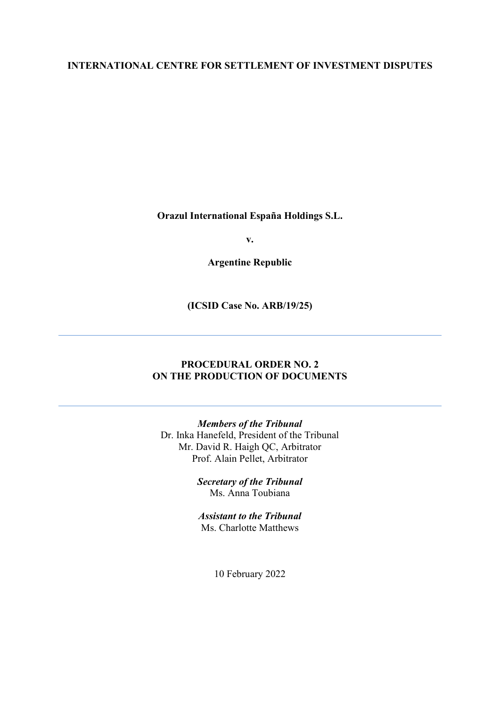### **INTERNATIONAL CENTRE FOR SETTLEMENT OF INVESTMENT DISPUTES**

**Orazul International España Holdings S.L.**

**v.**

**Argentine Republic**

**(ICSID Case No. ARB/19/25)**

### **PROCEDURAL ORDER NO. 2 ON THE PRODUCTION OF DOCUMENTS**

*Members of the Tribunal* Dr. Inka Hanefeld, President of the Tribunal Mr. David R. Haigh QC, Arbitrator Prof. Alain Pellet, Arbitrator

> *Secretary of the Tribunal* Ms. Anna Toubiana

*Assistant to the Tribunal* Ms. Charlotte Matthews

10 February 2022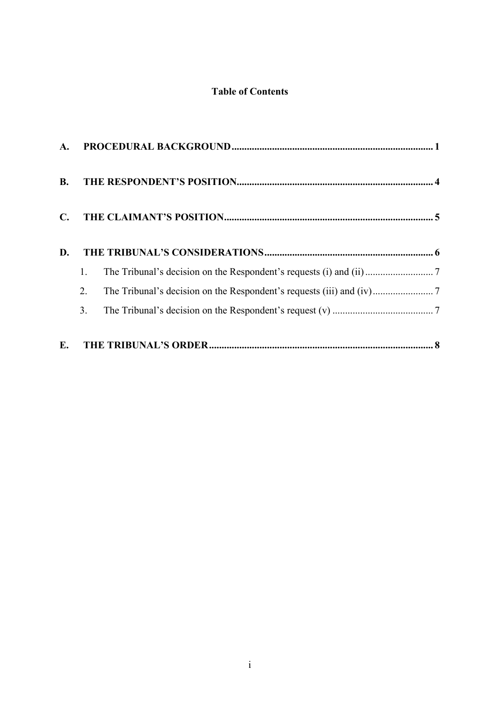# **Table of Contents**

| <b>B.</b>      |    |  |
|----------------|----|--|
| $\mathbf{C}$ . |    |  |
| D.             |    |  |
|                | 1. |  |
|                | 2. |  |
|                | 3. |  |
|                |    |  |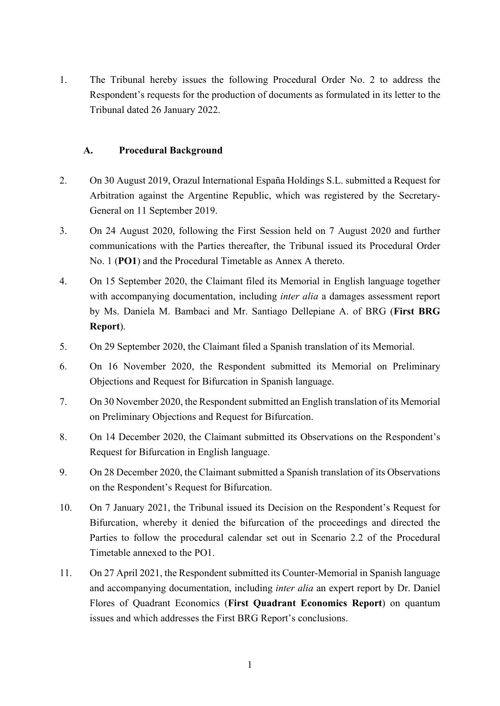1. The Tribunal hereby issues the following Procedural Order No. 2 to address the Respondent's requests for the production of documents as formulated in its letter to the Tribunal dated 26 January 2022.

#### <span id="page-2-0"></span>**A. Procedural Background**

- 2. On 30 August 2019, Orazul International España Holdings S.L. submitted a Request for Arbitration against the Argentine Republic, which was registered by the Secretary-General on 11 September 2019.
- 3. On 24 August 2020, following the First Session held on 7 August 2020 and further communications with the Parties thereafter, the Tribunal issued its Procedural Order No. 1 (**PO1**) and the Procedural Timetable as Annex A thereto.
- 4. On 15 September 2020, the Claimant filed its Memorial in English language together with accompanying documentation, including *inter alia* a damages assessment report by Ms. Daniela M. Bambaci and Mr. Santiago Dellepiane A. of BRG (**First BRG Report**).
- 5. On 29 September 2020, the Claimant filed a Spanish translation of its Memorial.
- 6. On 16 November 2020, the Respondent submitted its Memorial on Preliminary Objections and Request for Bifurcation in Spanish language.
- 7. On 30 November 2020, the Respondent submitted an English translation of its Memorial on Preliminary Objections and Request for Bifurcation.
- 8. On 14 December 2020, the Claimant submitted its Observations on the Respondent's Request for Bifurcation in English language.
- 9. On 28 December 2020, the Claimant submitted a Spanish translation of its Observations on the Respondent's Request for Bifurcation.
- 10. On 7 January 2021, the Tribunal issued its Decision on the Respondent's Request for Bifurcation, whereby it denied the bifurcation of the proceedings and directed the Parties to follow the procedural calendar set out in Scenario 2.2 of the Procedural Timetable annexed to the PO1.
- 11. On 27 April 2021, the Respondent submitted its Counter-Memorial in Spanish language and accompanying documentation, including *inter alia* an expert report by Dr. Daniel Flores of Quadrant Economics (**First Quadrant Economics Report**) on quantum issues and which addresses the First BRG Report's conclusions.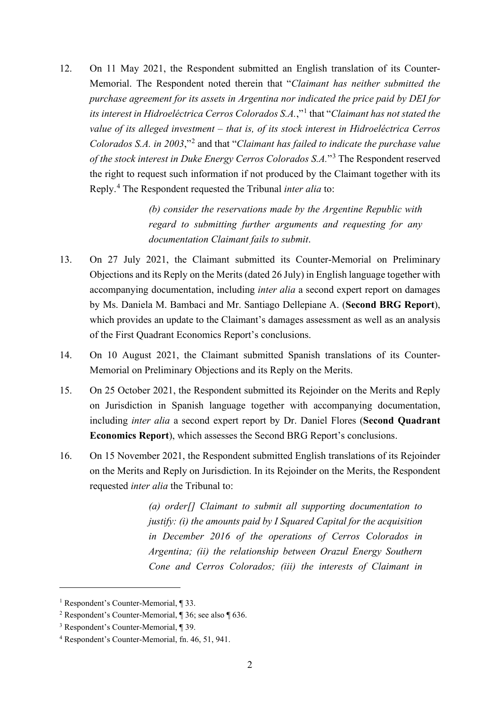12. On 11 May 2021, the Respondent submitted an English translation of its Counter-Memorial. The Respondent noted therein that "*Claimant has neither submitted the purchase agreement for its assets in Argentina nor indicated the price paid by DEI for its interest in Hidroeléctrica Cerros Colorados S.A.*,"[1](#page-3-0) that "*Claimant has not stated the value of its alleged investment – that is, of its stock interest in Hidroeléctrica Cerros Colorados S.A. in 2003*,"[2](#page-3-1) and that "*Claimant has failed to indicate the purchase value of the stock interest in Duke Energy Cerros Colorados S.A.*"[3](#page-3-2) The Respondent reserved the right to request such information if not produced by the Claimant together with its Reply.[4](#page-3-3) The Respondent requested the Tribunal *inter alia* to:

> *(b) consider the reservations made by the Argentine Republic with regard to submitting further arguments and requesting for any documentation Claimant fails to submit*.

- 13. On 27 July 2021, the Claimant submitted its Counter-Memorial on Preliminary Objections and its Reply on the Merits (dated 26 July) in English language together with accompanying documentation, including *inter alia* a second expert report on damages by Ms. Daniela M. Bambaci and Mr. Santiago Dellepiane A. (**Second BRG Report**), which provides an update to the Claimant's damages assessment as well as an analysis of the First Quadrant Economics Report's conclusions.
- 14. On 10 August 2021, the Claimant submitted Spanish translations of its Counter-Memorial on Preliminary Objections and its Reply on the Merits.
- 15. On 25 October 2021, the Respondent submitted its Rejoinder on the Merits and Reply on Jurisdiction in Spanish language together with accompanying documentation, including *inter alia* a second expert report by Dr. Daniel Flores (**Second Quadrant Economics Report**), which assesses the Second BRG Report's conclusions.
- 16. On 15 November 2021, the Respondent submitted English translations of its Rejoinder on the Merits and Reply on Jurisdiction. In its Rejoinder on the Merits, the Respondent requested *inter alia* the Tribunal to:

*(a) order[] Claimant to submit all supporting documentation to justify: (i) the amounts paid by I Squared Capital for the acquisition in December 2016 of the operations of Cerros Colorados in Argentina; (ii) the relationship between Orazul Energy Southern Cone and Cerros Colorados; (iii) the interests of Claimant in* 

<span id="page-3-0"></span><sup>1</sup> Respondent's Counter-Memorial, ¶ 33.

<span id="page-3-1"></span><sup>2</sup> Respondent's Counter-Memorial, ¶ 36; see also ¶ 636.

<span id="page-3-2"></span><sup>3</sup> Respondent's Counter-Memorial, ¶ 39.

<span id="page-3-3"></span><sup>4</sup> Respondent's Counter-Memorial, fn. 46, 51, 941.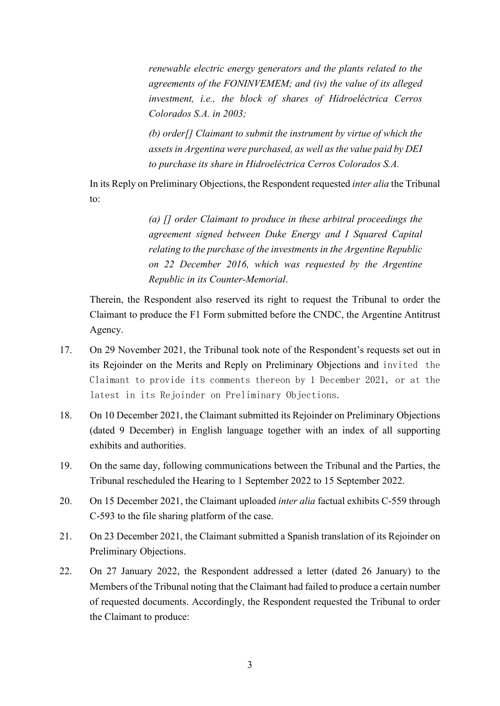*renewable electric energy generators and the plants related to the agreements of the FONINVEMEM; and (iv) the value of its alleged investment, i.e., the block of shares of Hidroeléctrica Cerros Colorados S.A. in 2003;*

*(b) order[] Claimant to submit the instrument by virtue of which the assets in Argentina were purchased, as well as the value paid by DEI to purchase its share in Hidroeléctrica Cerros Colorados S.A.*

In its Reply on Preliminary Objections, the Respondent requested *inter alia* the Tribunal to:

> *(a) [] order Claimant to produce in these arbitral proceedings the agreement signed between Duke Energy and I Squared Capital relating to the purchase of the investments in the Argentine Republic on 22 December 2016, which was requested by the Argentine Republic in its Counter-Memorial*.

Therein, the Respondent also reserved its right to request the Tribunal to order the Claimant to produce the F1 Form submitted before the CNDC, the Argentine Antitrust Agency.

- 17. On 29 November 2021, the Tribunal took note of the Respondent's requests set out in its Rejoinder on the Merits and Reply on Preliminary Objections and invited the Claimant to provide its comments thereon by 1 December 2021, or at the latest in its Rejoinder on Preliminary Objections.
- 18. On 10 December 2021, the Claimant submitted its Rejoinder on Preliminary Objections (dated 9 December) in English language together with an index of all supporting exhibits and authorities.
- 19. On the same day, following communications between the Tribunal and the Parties, the Tribunal rescheduled the Hearing to 1 September 2022 to 15 September 2022.
- 20. On 15 December 2021, the Claimant uploaded *inter alia* factual exhibits C-559 through C-593 to the file sharing platform of the case.
- 21. On 23 December 2021, the Claimant submitted a Spanish translation of its Rejoinder on Preliminary Objections.
- 22. On 27 January 2022, the Respondent addressed a letter (dated 26 January) to the Members of the Tribunal noting that the Claimant had failed to produce a certain number of requested documents. Accordingly, the Respondent requested the Tribunal to order the Claimant to produce: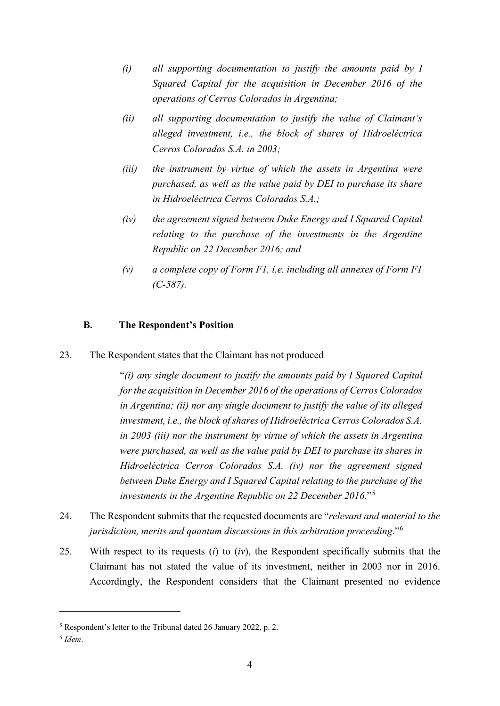- *(i) all supporting documentation to justify the amounts paid by I Squared Capital for the acquisition in December 2016 of the operations of Cerros Colorados in Argentina;*
- *(ii) all supporting documentation to justify the value of Claimant's alleged investment, i.e., the block of shares of Hidroeléctrica Cerros Colorados S.A. in 2003;*
- *(iii) the instrument by virtue of which the assets in Argentina were purchased, as well as the value paid by DEI to purchase its share in Hidroeléctrica Cerros Colorados S.A.;*
- *(iv) the agreement signed between Duke Energy and I Squared Capital relating to the purchase of the investments in the Argentine Republic on 22 December 2016; and*
- *(v) a complete copy of Form F1, i.e. including all annexes of Form F1 (C-587).*

#### <span id="page-5-0"></span>**B. The Respondent's Position**

23. The Respondent states that the Claimant has not produced

"*(i) any single document to justify the amounts paid by I Squared Capital for the acquisition in December 2016 of the operations of Cerros Colorados in Argentina; (ii) nor any single document to justify the value of its alleged investment, i.e., the block of shares of Hidroeléctrica Cerros Colorados S.A. in 2003 (iii) nor the instrument by virtue of which the assets in Argentina were purchased, as well as the value paid by DEI to purchase its shares in Hidroeléctrica Cerros Colorados S.A. (iv) nor the agreement signed between Duke Energy and I Squared Capital relating to the purchase of the investments in the Argentine Republic on 22 December 2016*."[5](#page-5-1)

- 24. The Respondent submits that the requested documents are "*relevant and material to the jurisdiction, merits and quantum discussions in this arbitration proceeding*."[6](#page-5-2)
- 25. With respect to its requests (*i*) to (*iv*), the Respondent specifically submits that the Claimant has not stated the value of its investment, neither in 2003 nor in 2016. Accordingly, the Respondent considers that the Claimant presented no evidence

<span id="page-5-1"></span><sup>5</sup> Respondent's letter to the Tribunal dated 26 January 2022, p. 2.

<span id="page-5-2"></span><sup>6</sup> *Idem*.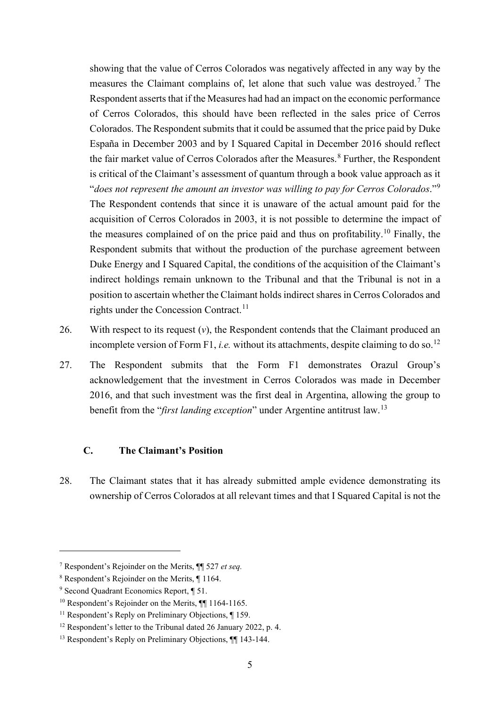showing that the value of Cerros Colorados was negatively affected in any way by the measures the Claimant complains of, let alone that such value was destroyed.<sup>[7](#page-6-1)</sup> The Respondent asserts that if the Measures had had an impact on the economic performance of Cerros Colorados, this should have been reflected in the sales price of Cerros Colorados. The Respondent submits that it could be assumed that the price paid by Duke España in December 2003 and by I Squared Capital in December 2016 should reflect the fair market value of Cerros Colorados after the Measures. [8](#page-6-2) Further, the Respondent is critical of the Claimant's assessment of quantum through a book value approach as it "*does not represent the amount an investor was willing to pay for Cerros Colorados*."[9](#page-6-3) The Respondent contends that since it is unaware of the actual amount paid for the acquisition of Cerros Colorados in 2003, it is not possible to determine the impact of the measures complained of on the price paid and thus on profitability.<sup>[10](#page-6-4)</sup> Finally, the Respondent submits that without the production of the purchase agreement between Duke Energy and I Squared Capital, the conditions of the acquisition of the Claimant's indirect holdings remain unknown to the Tribunal and that the Tribunal is not in a position to ascertain whether the Claimant holds indirect shares in Cerros Colorados and rights under the Concession Contract.<sup>[11](#page-6-5)</sup>

- 26. With respect to its request (*v*), the Respondent contends that the Claimant produced an incomplete version of Form F1, *i.e.* without its attachments, despite claiming to do so.<sup>[12](#page-6-6)</sup>
- 27. The Respondent submits that the Form F1 demonstrates Orazul Group's acknowledgement that the investment in Cerros Colorados was made in December 2016, and that such investment was the first deal in Argentina, allowing the group to benefit from the "*first landing exception*" under Argentine antitrust law.[13](#page-6-7)

#### <span id="page-6-0"></span>**C. The Claimant's Position**

28. The Claimant states that it has already submitted ample evidence demonstrating its ownership of Cerros Colorados at all relevant times and that I Squared Capital is not the

<span id="page-6-1"></span><sup>7</sup> Respondent's Rejoinder on the Merits, ¶¶ 527 *et seq.*

<span id="page-6-2"></span><sup>8</sup> Respondent's Rejoinder on the Merits, ¶ 1164.

<span id="page-6-3"></span><sup>9</sup> Second Quadrant Economics Report, ¶ 51.

<span id="page-6-4"></span><sup>&</sup>lt;sup>10</sup> Respondent's Rejoinder on the Merits,  $\P$  1164-1165.

<span id="page-6-5"></span><sup>&</sup>lt;sup>11</sup> Respondent's Reply on Preliminary Objections, ¶ 159.

<span id="page-6-6"></span><sup>&</sup>lt;sup>12</sup> Respondent's letter to the Tribunal dated 26 January 2022, p. 4.

<span id="page-6-7"></span><sup>&</sup>lt;sup>13</sup> Respondent's Reply on Preliminary Objections,  $\P$  143-144.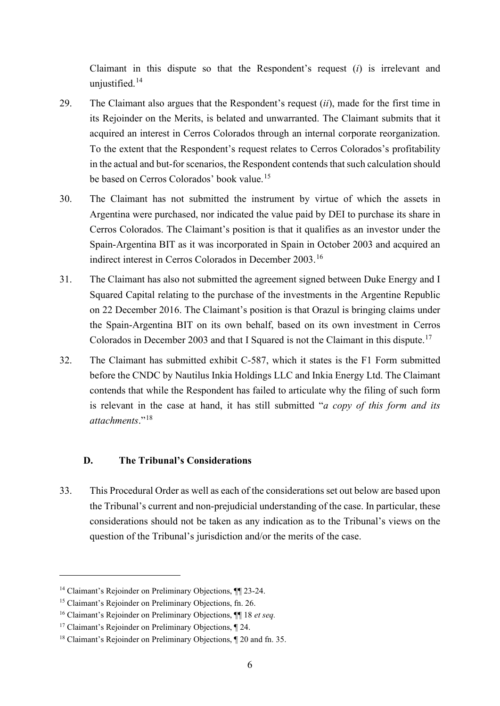Claimant in this dispute so that the Respondent's request (*i*) is irrelevant and unjustified.<sup>[14](#page-7-1)</sup>

- 29. The Claimant also argues that the Respondent's request (*ii*), made for the first time in its Rejoinder on the Merits, is belated and unwarranted. The Claimant submits that it acquired an interest in Cerros Colorados through an internal corporate reorganization. To the extent that the Respondent's request relates to Cerros Colorados's profitability in the actual and but-for scenarios, the Respondent contends that such calculation should be based on Cerros Colorados' book value.<sup>[15](#page-7-2)</sup>
- 30. The Claimant has not submitted the instrument by virtue of which the assets in Argentina were purchased, nor indicated the value paid by DEI to purchase its share in Cerros Colorados. The Claimant's position is that it qualifies as an investor under the Spain-Argentina BIT as it was incorporated in Spain in October 2003 and acquired an indirect interest in Cerros Colorados in December 2003.[16](#page-7-3)
- 31. The Claimant has also not submitted the agreement signed between Duke Energy and I Squared Capital relating to the purchase of the investments in the Argentine Republic on 22 December 2016. The Claimant's position is that Orazul is bringing claims under the Spain-Argentina BIT on its own behalf, based on its own investment in Cerros Colorados in December 2003 and that I Squared is not the Claimant in this dispute.<sup>[17](#page-7-4)</sup>
- 32. The Claimant has submitted exhibit C-587, which it states is the F1 Form submitted before the CNDC by Nautilus Inkia Holdings LLC and Inkia Energy Ltd. The Claimant contends that while the Respondent has failed to articulate why the filing of such form is relevant in the case at hand, it has still submitted "*a copy of this form and its attachments*."[18](#page-7-5)

#### <span id="page-7-0"></span>**D. The Tribunal's Considerations**

33. This Procedural Order as well as each of the considerations set out below are based upon the Tribunal's current and non-prejudicial understanding of the case. In particular, these considerations should not be taken as any indication as to the Tribunal's views on the question of the Tribunal's jurisdiction and/or the merits of the case.

<span id="page-7-1"></span><sup>&</sup>lt;sup>14</sup> Claimant's Rejoinder on Preliminary Objections,  $\P$  23-24.

<span id="page-7-2"></span><sup>15</sup> Claimant's Rejoinder on Preliminary Objections, fn. 26.

<span id="page-7-3"></span><sup>16</sup> Claimant's Rejoinder on Preliminary Objections, ¶¶ 18 *et seq.*

<span id="page-7-4"></span><sup>&</sup>lt;sup>17</sup> Claimant's Rejoinder on Preliminary Objections, ¶ 24.

<span id="page-7-5"></span><sup>18</sup> Claimant's Rejoinder on Preliminary Objections, ¶ 20 and fn. 35.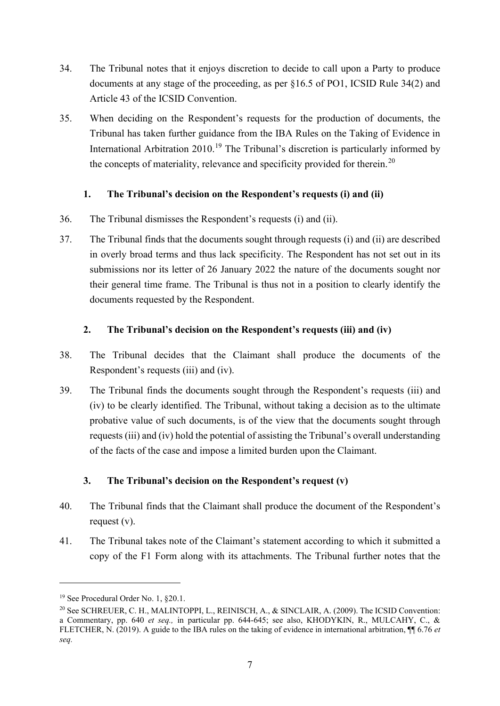- 34. The Tribunal notes that it enjoys discretion to decide to call upon a Party to produce documents at any stage of the proceeding, as per §16.5 of PO1, ICSID Rule 34(2) and Article 43 of the ICSID Convention.
- 35. When deciding on the Respondent's requests for the production of documents, the Tribunal has taken further guidance from the IBA Rules on the Taking of Evidence in International Arbitration 2010.<sup>[19](#page-8-3)</sup> The Tribunal's discretion is particularly informed by the concepts of materiality, relevance and specificity provided for therein.<sup>[20](#page-8-4)</sup>

#### <span id="page-8-0"></span>**1. The Tribunal's decision on the Respondent's requests (i) and (ii)**

- 36. The Tribunal dismisses the Respondent's requests (i) and (ii).
- 37. The Tribunal finds that the documents sought through requests (i) and (ii) are described in overly broad terms and thus lack specificity. The Respondent has not set out in its submissions nor its letter of 26 January 2022 the nature of the documents sought nor their general time frame. The Tribunal is thus not in a position to clearly identify the documents requested by the Respondent.

### <span id="page-8-1"></span>**2. The Tribunal's decision on the Respondent's requests (iii) and (iv)**

- 38. The Tribunal decides that the Claimant shall produce the documents of the Respondent's requests (iii) and (iv).
- 39. The Tribunal finds the documents sought through the Respondent's requests (iii) and (iv) to be clearly identified. The Tribunal, without taking a decision as to the ultimate probative value of such documents, is of the view that the documents sought through requests (iii) and (iv) hold the potential of assisting the Tribunal's overall understanding of the facts of the case and impose a limited burden upon the Claimant.

## <span id="page-8-2"></span>**3. The Tribunal's decision on the Respondent's request (v)**

- 40. The Tribunal finds that the Claimant shall produce the document of the Respondent's request (v).
- 41. The Tribunal takes note of the Claimant's statement according to which it submitted a copy of the F1 Form along with its attachments. The Tribunal further notes that the

<span id="page-8-3"></span><sup>&</sup>lt;sup>19</sup> See Procedural Order No. 1, §20.1.

<span id="page-8-4"></span><sup>&</sup>lt;sup>20</sup> See SCHREUER, C. H., MALINTOPPI, L., REINISCH, A., & SINCLAIR, A. (2009). The ICSID Convention: a Commentary, pp. 640 *et seq.,* in particular pp. 644-645; see also, KHODYKIN, R., MULCAHY, C., & FLETCHER, N. (2019). A guide to the IBA rules on the taking of evidence in international arbitration, ¶¶ 6.76 *et seq.*